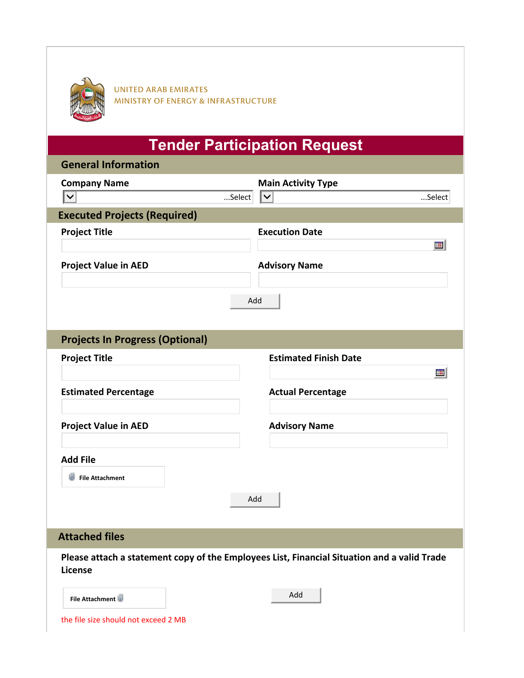

**UNITED ARAB EMIRATES** MINISTRY OF ENERGY & INFRASTRUCTURE

## Tender Participation Request

|  |  | <b>General Information</b> |
|--|--|----------------------------|
|--|--|----------------------------|

| <b>Company Name</b>                                                                         | <b>Main Activity Type</b>    |  |
|---------------------------------------------------------------------------------------------|------------------------------|--|
| Select<br>$\checkmark$                                                                      | Select<br>$\checkmark$       |  |
| <b>Executed Projects (Required)</b>                                                         |                              |  |
| <b>Project Title</b>                                                                        | <b>Execution Date</b>        |  |
|                                                                                             | Ħ                            |  |
| <b>Project Value in AED</b>                                                                 | <b>Advisory Name</b>         |  |
|                                                                                             |                              |  |
|                                                                                             | Add                          |  |
|                                                                                             |                              |  |
| <b>Projects In Progress (Optional)</b>                                                      |                              |  |
|                                                                                             | <b>Estimated Finish Date</b> |  |
| <b>Project Title</b>                                                                        | 亜                            |  |
|                                                                                             |                              |  |
| <b>Estimated Percentage</b>                                                                 | <b>Actual Percentage</b>     |  |
|                                                                                             |                              |  |
| <b>Project Value in AED</b>                                                                 | <b>Advisory Name</b>         |  |
|                                                                                             |                              |  |
| <b>Add File</b>                                                                             |                              |  |
| w<br><b>File Attachment</b>                                                                 |                              |  |
|                                                                                             | Add                          |  |
|                                                                                             |                              |  |
| <b>Attached files</b>                                                                       |                              |  |
| Please attach a statement copy of the Employees List, Financial Situation and a valid Trade |                              |  |
| License                                                                                     |                              |  |
|                                                                                             |                              |  |
| File Attachment <sup>1</sup>                                                                | Add                          |  |
| the file size should not exceed 2 MB                                                        |                              |  |